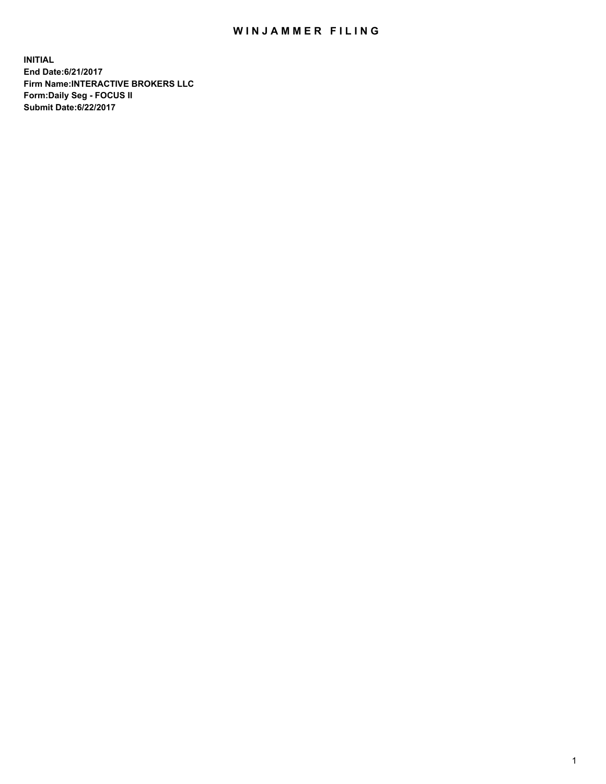## WIN JAMMER FILING

**INITIAL End Date:6/21/2017 Firm Name:INTERACTIVE BROKERS LLC Form:Daily Seg - FOCUS II Submit Date:6/22/2017**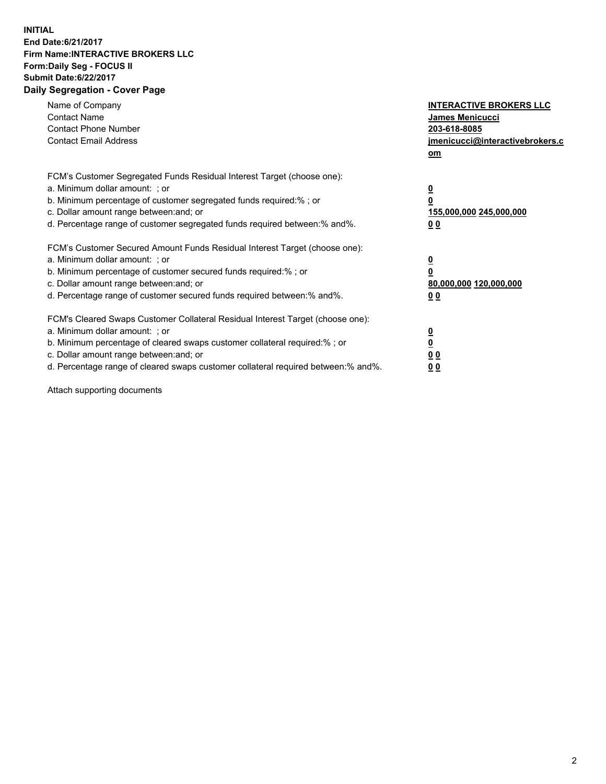## **INITIAL End Date:6/21/2017 Firm Name:INTERACTIVE BROKERS LLC Form:Daily Seg - FOCUS II Submit Date:6/22/2017 Daily Segregation - Cover Page**

| Name of Company<br><b>Contact Name</b><br><b>Contact Phone Number</b><br><b>Contact Email Address</b>                                                                                                                                                                                                                          | <b>INTERACTIVE BROKERS LLC</b><br>James Menicucci<br>203-618-8085<br>jmenicucci@interactivebrokers.c<br>om |
|--------------------------------------------------------------------------------------------------------------------------------------------------------------------------------------------------------------------------------------------------------------------------------------------------------------------------------|------------------------------------------------------------------------------------------------------------|
| FCM's Customer Segregated Funds Residual Interest Target (choose one):<br>a. Minimum dollar amount: ; or<br>b. Minimum percentage of customer segregated funds required:%; or<br>c. Dollar amount range between: and; or<br>d. Percentage range of customer segregated funds required between:% and%.                          | $\overline{\mathbf{0}}$<br>0<br>155,000,000 245,000,000<br>0 <sub>0</sub>                                  |
| FCM's Customer Secured Amount Funds Residual Interest Target (choose one):<br>a. Minimum dollar amount: ; or<br>b. Minimum percentage of customer secured funds required:%; or<br>c. Dollar amount range between: and; or<br>d. Percentage range of customer secured funds required between:% and%.                            | $\overline{\mathbf{0}}$<br>$\overline{\mathbf{0}}$<br>80,000,000 120,000,000<br>00                         |
| FCM's Cleared Swaps Customer Collateral Residual Interest Target (choose one):<br>a. Minimum dollar amount: ; or<br>b. Minimum percentage of cleared swaps customer collateral required:% ; or<br>c. Dollar amount range between: and; or<br>d. Percentage range of cleared swaps customer collateral required between:% and%. | $\overline{\mathbf{0}}$<br>$\overline{\mathbf{0}}$<br>0 <sub>0</sub><br><u>00</u>                          |

Attach supporting documents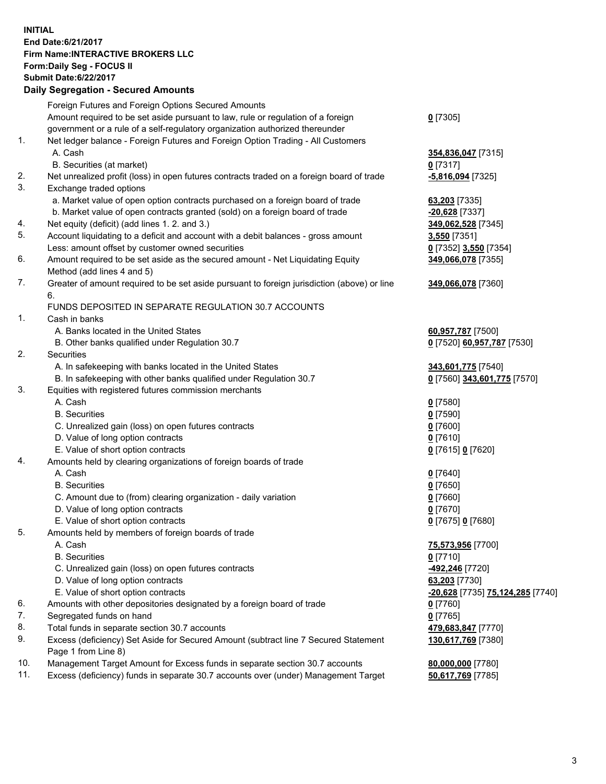## **INITIAL End Date:6/21/2017 Firm Name:INTERACTIVE BROKERS LLC Form:Daily Seg - FOCUS II Submit Date:6/22/2017 Daily Segregation - Secured Amounts**

| Foreign Futures and Foreign Options Secured Amounts                                         |                                                                                                                                                                                                                                                                                                                                                                                                                                                                                                                                                                                                                                                                                                                                                                                                                                                                                                                                                                                                                                                                                                                                                                                                                                                                                                                                                                           |
|---------------------------------------------------------------------------------------------|---------------------------------------------------------------------------------------------------------------------------------------------------------------------------------------------------------------------------------------------------------------------------------------------------------------------------------------------------------------------------------------------------------------------------------------------------------------------------------------------------------------------------------------------------------------------------------------------------------------------------------------------------------------------------------------------------------------------------------------------------------------------------------------------------------------------------------------------------------------------------------------------------------------------------------------------------------------------------------------------------------------------------------------------------------------------------------------------------------------------------------------------------------------------------------------------------------------------------------------------------------------------------------------------------------------------------------------------------------------------------|
| Amount required to be set aside pursuant to law, rule or regulation of a foreign            | $0$ [7305]                                                                                                                                                                                                                                                                                                                                                                                                                                                                                                                                                                                                                                                                                                                                                                                                                                                                                                                                                                                                                                                                                                                                                                                                                                                                                                                                                                |
| government or a rule of a self-regulatory organization authorized thereunder                |                                                                                                                                                                                                                                                                                                                                                                                                                                                                                                                                                                                                                                                                                                                                                                                                                                                                                                                                                                                                                                                                                                                                                                                                                                                                                                                                                                           |
| Net ledger balance - Foreign Futures and Foreign Option Trading - All Customers             |                                                                                                                                                                                                                                                                                                                                                                                                                                                                                                                                                                                                                                                                                                                                                                                                                                                                                                                                                                                                                                                                                                                                                                                                                                                                                                                                                                           |
| A. Cash                                                                                     | 354,836,047 [7315]                                                                                                                                                                                                                                                                                                                                                                                                                                                                                                                                                                                                                                                                                                                                                                                                                                                                                                                                                                                                                                                                                                                                                                                                                                                                                                                                                        |
| B. Securities (at market)                                                                   | $0$ [7317]                                                                                                                                                                                                                                                                                                                                                                                                                                                                                                                                                                                                                                                                                                                                                                                                                                                                                                                                                                                                                                                                                                                                                                                                                                                                                                                                                                |
| Net unrealized profit (loss) in open futures contracts traded on a foreign board of trade   | <u>-5,816,094</u> [7325]                                                                                                                                                                                                                                                                                                                                                                                                                                                                                                                                                                                                                                                                                                                                                                                                                                                                                                                                                                                                                                                                                                                                                                                                                                                                                                                                                  |
| Exchange traded options                                                                     |                                                                                                                                                                                                                                                                                                                                                                                                                                                                                                                                                                                                                                                                                                                                                                                                                                                                                                                                                                                                                                                                                                                                                                                                                                                                                                                                                                           |
|                                                                                             | 63,203 [7335]                                                                                                                                                                                                                                                                                                                                                                                                                                                                                                                                                                                                                                                                                                                                                                                                                                                                                                                                                                                                                                                                                                                                                                                                                                                                                                                                                             |
| b. Market value of open contracts granted (sold) on a foreign board of trade                | -20,628 [7337]                                                                                                                                                                                                                                                                                                                                                                                                                                                                                                                                                                                                                                                                                                                                                                                                                                                                                                                                                                                                                                                                                                                                                                                                                                                                                                                                                            |
|                                                                                             | 349,062,528 [7345]                                                                                                                                                                                                                                                                                                                                                                                                                                                                                                                                                                                                                                                                                                                                                                                                                                                                                                                                                                                                                                                                                                                                                                                                                                                                                                                                                        |
| Account liquidating to a deficit and account with a debit balances - gross amount           | 3,550 [7351]                                                                                                                                                                                                                                                                                                                                                                                                                                                                                                                                                                                                                                                                                                                                                                                                                                                                                                                                                                                                                                                                                                                                                                                                                                                                                                                                                              |
| Less: amount offset by customer owned securities                                            | 0 [7352] 3,550 [7354]                                                                                                                                                                                                                                                                                                                                                                                                                                                                                                                                                                                                                                                                                                                                                                                                                                                                                                                                                                                                                                                                                                                                                                                                                                                                                                                                                     |
|                                                                                             | 349,066,078 [7355]                                                                                                                                                                                                                                                                                                                                                                                                                                                                                                                                                                                                                                                                                                                                                                                                                                                                                                                                                                                                                                                                                                                                                                                                                                                                                                                                                        |
| Method (add lines 4 and 5)                                                                  |                                                                                                                                                                                                                                                                                                                                                                                                                                                                                                                                                                                                                                                                                                                                                                                                                                                                                                                                                                                                                                                                                                                                                                                                                                                                                                                                                                           |
| Greater of amount required to be set aside pursuant to foreign jurisdiction (above) or line | 349,066,078 [7360]                                                                                                                                                                                                                                                                                                                                                                                                                                                                                                                                                                                                                                                                                                                                                                                                                                                                                                                                                                                                                                                                                                                                                                                                                                                                                                                                                        |
| 6.                                                                                          |                                                                                                                                                                                                                                                                                                                                                                                                                                                                                                                                                                                                                                                                                                                                                                                                                                                                                                                                                                                                                                                                                                                                                                                                                                                                                                                                                                           |
|                                                                                             |                                                                                                                                                                                                                                                                                                                                                                                                                                                                                                                                                                                                                                                                                                                                                                                                                                                                                                                                                                                                                                                                                                                                                                                                                                                                                                                                                                           |
| Cash in banks                                                                               |                                                                                                                                                                                                                                                                                                                                                                                                                                                                                                                                                                                                                                                                                                                                                                                                                                                                                                                                                                                                                                                                                                                                                                                                                                                                                                                                                                           |
| A. Banks located in the United States                                                       | 60,957,787 [7500]                                                                                                                                                                                                                                                                                                                                                                                                                                                                                                                                                                                                                                                                                                                                                                                                                                                                                                                                                                                                                                                                                                                                                                                                                                                                                                                                                         |
| B. Other banks qualified under Regulation 30.7                                              | 0 [7520] 60,957,787 [7530]                                                                                                                                                                                                                                                                                                                                                                                                                                                                                                                                                                                                                                                                                                                                                                                                                                                                                                                                                                                                                                                                                                                                                                                                                                                                                                                                                |
| Securities                                                                                  |                                                                                                                                                                                                                                                                                                                                                                                                                                                                                                                                                                                                                                                                                                                                                                                                                                                                                                                                                                                                                                                                                                                                                                                                                                                                                                                                                                           |
|                                                                                             | 343,601,775 [7540]                                                                                                                                                                                                                                                                                                                                                                                                                                                                                                                                                                                                                                                                                                                                                                                                                                                                                                                                                                                                                                                                                                                                                                                                                                                                                                                                                        |
|                                                                                             | 0 [7560] 343,601,775 [7570]                                                                                                                                                                                                                                                                                                                                                                                                                                                                                                                                                                                                                                                                                                                                                                                                                                                                                                                                                                                                                                                                                                                                                                                                                                                                                                                                               |
|                                                                                             |                                                                                                                                                                                                                                                                                                                                                                                                                                                                                                                                                                                                                                                                                                                                                                                                                                                                                                                                                                                                                                                                                                                                                                                                                                                                                                                                                                           |
|                                                                                             | $0$ [7580]                                                                                                                                                                                                                                                                                                                                                                                                                                                                                                                                                                                                                                                                                                                                                                                                                                                                                                                                                                                                                                                                                                                                                                                                                                                                                                                                                                |
|                                                                                             | $0$ [7590]                                                                                                                                                                                                                                                                                                                                                                                                                                                                                                                                                                                                                                                                                                                                                                                                                                                                                                                                                                                                                                                                                                                                                                                                                                                                                                                                                                |
|                                                                                             | $0$ [7600]                                                                                                                                                                                                                                                                                                                                                                                                                                                                                                                                                                                                                                                                                                                                                                                                                                                                                                                                                                                                                                                                                                                                                                                                                                                                                                                                                                |
|                                                                                             | $0$ [7610]                                                                                                                                                                                                                                                                                                                                                                                                                                                                                                                                                                                                                                                                                                                                                                                                                                                                                                                                                                                                                                                                                                                                                                                                                                                                                                                                                                |
|                                                                                             | 0 [7615] 0 [7620]                                                                                                                                                                                                                                                                                                                                                                                                                                                                                                                                                                                                                                                                                                                                                                                                                                                                                                                                                                                                                                                                                                                                                                                                                                                                                                                                                         |
|                                                                                             |                                                                                                                                                                                                                                                                                                                                                                                                                                                                                                                                                                                                                                                                                                                                                                                                                                                                                                                                                                                                                                                                                                                                                                                                                                                                                                                                                                           |
|                                                                                             | $0$ [7640]                                                                                                                                                                                                                                                                                                                                                                                                                                                                                                                                                                                                                                                                                                                                                                                                                                                                                                                                                                                                                                                                                                                                                                                                                                                                                                                                                                |
|                                                                                             | $0$ [7650]                                                                                                                                                                                                                                                                                                                                                                                                                                                                                                                                                                                                                                                                                                                                                                                                                                                                                                                                                                                                                                                                                                                                                                                                                                                                                                                                                                |
|                                                                                             | $0$ [7660]                                                                                                                                                                                                                                                                                                                                                                                                                                                                                                                                                                                                                                                                                                                                                                                                                                                                                                                                                                                                                                                                                                                                                                                                                                                                                                                                                                |
|                                                                                             | $0$ [7670]                                                                                                                                                                                                                                                                                                                                                                                                                                                                                                                                                                                                                                                                                                                                                                                                                                                                                                                                                                                                                                                                                                                                                                                                                                                                                                                                                                |
|                                                                                             | 0 [7675] 0 [7680]                                                                                                                                                                                                                                                                                                                                                                                                                                                                                                                                                                                                                                                                                                                                                                                                                                                                                                                                                                                                                                                                                                                                                                                                                                                                                                                                                         |
|                                                                                             |                                                                                                                                                                                                                                                                                                                                                                                                                                                                                                                                                                                                                                                                                                                                                                                                                                                                                                                                                                                                                                                                                                                                                                                                                                                                                                                                                                           |
|                                                                                             | 75,573,956 [7700]                                                                                                                                                                                                                                                                                                                                                                                                                                                                                                                                                                                                                                                                                                                                                                                                                                                                                                                                                                                                                                                                                                                                                                                                                                                                                                                                                         |
|                                                                                             | $0$ [7710]                                                                                                                                                                                                                                                                                                                                                                                                                                                                                                                                                                                                                                                                                                                                                                                                                                                                                                                                                                                                                                                                                                                                                                                                                                                                                                                                                                |
|                                                                                             | -492,246 [7720]                                                                                                                                                                                                                                                                                                                                                                                                                                                                                                                                                                                                                                                                                                                                                                                                                                                                                                                                                                                                                                                                                                                                                                                                                                                                                                                                                           |
|                                                                                             | 63,203 [7730]                                                                                                                                                                                                                                                                                                                                                                                                                                                                                                                                                                                                                                                                                                                                                                                                                                                                                                                                                                                                                                                                                                                                                                                                                                                                                                                                                             |
|                                                                                             | -20,628 [7735] 75,124,285 [7740]                                                                                                                                                                                                                                                                                                                                                                                                                                                                                                                                                                                                                                                                                                                                                                                                                                                                                                                                                                                                                                                                                                                                                                                                                                                                                                                                          |
|                                                                                             | 0 [7760]                                                                                                                                                                                                                                                                                                                                                                                                                                                                                                                                                                                                                                                                                                                                                                                                                                                                                                                                                                                                                                                                                                                                                                                                                                                                                                                                                                  |
|                                                                                             | $0$ [7765]                                                                                                                                                                                                                                                                                                                                                                                                                                                                                                                                                                                                                                                                                                                                                                                                                                                                                                                                                                                                                                                                                                                                                                                                                                                                                                                                                                |
|                                                                                             | 479,683,847 [7770]                                                                                                                                                                                                                                                                                                                                                                                                                                                                                                                                                                                                                                                                                                                                                                                                                                                                                                                                                                                                                                                                                                                                                                                                                                                                                                                                                        |
| Page 1 from Line 8)                                                                         | 130,617,769 [7380]                                                                                                                                                                                                                                                                                                                                                                                                                                                                                                                                                                                                                                                                                                                                                                                                                                                                                                                                                                                                                                                                                                                                                                                                                                                                                                                                                        |
| Management Target Amount for Excess funds in separate section 30.7 accounts                 | 80,000,000 [7780]                                                                                                                                                                                                                                                                                                                                                                                                                                                                                                                                                                                                                                                                                                                                                                                                                                                                                                                                                                                                                                                                                                                                                                                                                                                                                                                                                         |
| Excess (deficiency) funds in separate 30.7 accounts over (under) Management Target          | 50,617,769 [7785]                                                                                                                                                                                                                                                                                                                                                                                                                                                                                                                                                                                                                                                                                                                                                                                                                                                                                                                                                                                                                                                                                                                                                                                                                                                                                                                                                         |
|                                                                                             | a. Market value of open option contracts purchased on a foreign board of trade<br>Net equity (deficit) (add lines 1. 2. and 3.)<br>Amount required to be set aside as the secured amount - Net Liquidating Equity<br>FUNDS DEPOSITED IN SEPARATE REGULATION 30.7 ACCOUNTS<br>A. In safekeeping with banks located in the United States<br>B. In safekeeping with other banks qualified under Regulation 30.7<br>Equities with registered futures commission merchants<br>A. Cash<br><b>B.</b> Securities<br>C. Unrealized gain (loss) on open futures contracts<br>D. Value of long option contracts<br>E. Value of short option contracts<br>Amounts held by clearing organizations of foreign boards of trade<br>A. Cash<br><b>B.</b> Securities<br>C. Amount due to (from) clearing organization - daily variation<br>D. Value of long option contracts<br>E. Value of short option contracts<br>Amounts held by members of foreign boards of trade<br>A. Cash<br><b>B.</b> Securities<br>C. Unrealized gain (loss) on open futures contracts<br>D. Value of long option contracts<br>E. Value of short option contracts<br>Amounts with other depositories designated by a foreign board of trade<br>Segregated funds on hand<br>Total funds in separate section 30.7 accounts<br>Excess (deficiency) Set Aside for Secured Amount (subtract line 7 Secured Statement |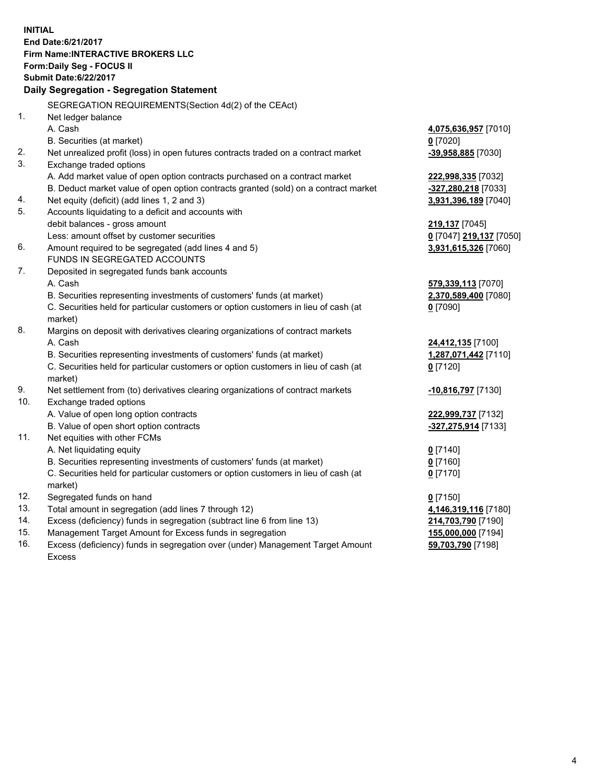**INITIAL End Date:6/21/2017 Firm Name:INTERACTIVE BROKERS LLC Form:Daily Seg - FOCUS II Submit Date:6/22/2017 Daily Segregation - Segregation Statement** SEGREGATION REQUIREMENTS(Section 4d(2) of the CEAct) 1. Net ledger balance A. Cash **4,075,636,957** [7010] B. Securities (at market) **0** [7020] 2. Net unrealized profit (loss) in open futures contracts traded on a contract market **-39,958,885** [7030] 3. Exchange traded options A. Add market value of open option contracts purchased on a contract market **222,998,335** [7032] B. Deduct market value of open option contracts granted (sold) on a contract market **-327,280,218** [7033] 4. Net equity (deficit) (add lines 1, 2 and 3) **3,931,396,189** [7040] 5. Accounts liquidating to a deficit and accounts with debit balances - gross amount **219,137** [7045] Less: amount offset by customer securities **0** [7047] **219,137** [7050] 6. Amount required to be segregated (add lines 4 and 5) **3,931,615,326** [7060] FUNDS IN SEGREGATED ACCOUNTS 7. Deposited in segregated funds bank accounts A. Cash **579,339,113** [7070] B. Securities representing investments of customers' funds (at market) **2,370,589,400** [7080] C. Securities held for particular customers or option customers in lieu of cash (at market) **0** [7090] 8. Margins on deposit with derivatives clearing organizations of contract markets A. Cash **24,412,135** [7100] B. Securities representing investments of customers' funds (at market) **1,287,071,442** [7110] C. Securities held for particular customers or option customers in lieu of cash (at market) **0** [7120] 9. Net settlement from (to) derivatives clearing organizations of contract markets **-10,816,797** [7130] 10. Exchange traded options A. Value of open long option contracts **222,999,737** [7132] B. Value of open short option contracts **-327,275,914** [7133] 11. Net equities with other FCMs A. Net liquidating equity **0** [7140] B. Securities representing investments of customers' funds (at market) **0** [7160] C. Securities held for particular customers or option customers in lieu of cash (at market) **0** [7170] 12. Segregated funds on hand **0** [7150] 13. Total amount in segregation (add lines 7 through 12) **4,146,319,116** [7180] 14. Excess (deficiency) funds in segregation (subtract line 6 from line 13) **214,703,790** [7190] 15. Management Target Amount for Excess funds in segregation **155,000,000** [7194]

16. Excess (deficiency) funds in segregation over (under) Management Target Amount Excess

**59,703,790** [7198]